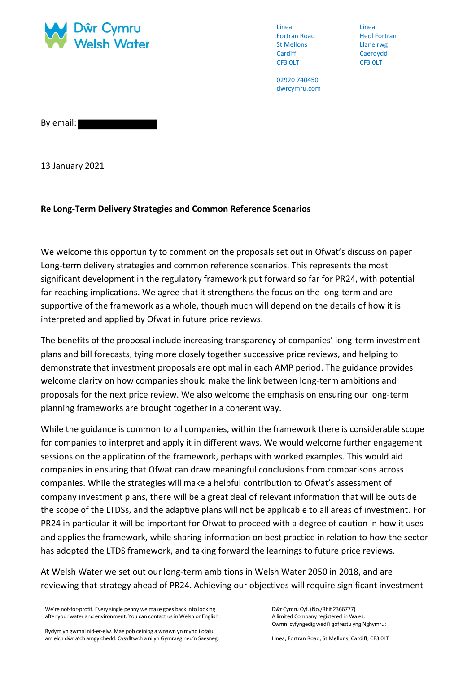

Linea Fortran Road St Mellons **Cardiff** CF3 0LT

Linea Heol Fortran Llaneirwg Caerdydd CF3 0LT

02920 740450 dwrcymru.com

By email:

13 January 2021

## **Re Long-Term Delivery Strategies and Common Reference Scenarios**

We welcome this opportunity to comment on the proposals set out in Ofwat's discussion paper Long-term delivery strategies and common reference scenarios. This represents the most significant development in the regulatory framework put forward so far for PR24, with potential far-reaching implications. We agree that it strengthens the focus on the long-term and are supportive of the framework as a whole, though much will depend on the details of how it is interpreted and applied by Ofwat in future price reviews.

The benefits of the proposal include increasing transparency of companies' long-term investment plans and bill forecasts, tying more closely together successive price reviews, and helping to demonstrate that investment proposals are optimal in each AMP period. The guidance provides welcome clarity on how companies should make the link between long-term ambitions and proposals for the next price review. We also welcome the emphasis on ensuring our long-term planning frameworks are brought together in a coherent way.

While the guidance is common to all companies, within the framework there is considerable scope for companies to interpret and apply it in different ways. We would welcome further engagement sessions on the application of the framework, perhaps with worked examples. This would aid companies in ensuring that Ofwat can draw meaningful conclusions from comparisons across companies. While the strategies will make a helpful contribution to Ofwat's assessment of company investment plans, there will be a great deal of relevant information that will be outside the scope of the LTDSs, and the adaptive plans will not be applicable to all areas of investment. For PR24 in particular it will be important for Ofwat to proceed with a degree of caution in how it uses and applies the framework, while sharing information on best practice in relation to how the sector has adopted the LTDS framework, and taking forward the learnings to future price reviews.

At Welsh Water we set out our long-term ambitions in Welsh Water 2050 in 2018, and are reviewing that strategy ahead of PR24. Achieving our objectives will require significant investment

We're not-for-profit. Every single penny we make goes back into looking after your water and environment. You can contact us in Welsh or English. Dŵr Cymru Cyf. (No./Rhif 2366777) A limited Company registered in Wales: Cwmni cyfyngedig wedi'i gofrestu yng Nghymru:

Rydym yn gwmni nid-er-elw. Mae pob ceiniog a wnawn yn mynd i ofalu am eich dŵr a'ch amgylchedd. Cysylltwch a ni yn Gymraeg neu'n Saesneg.

Linea, Fortran Road, St Mellons, Cardiff, CF3 0LT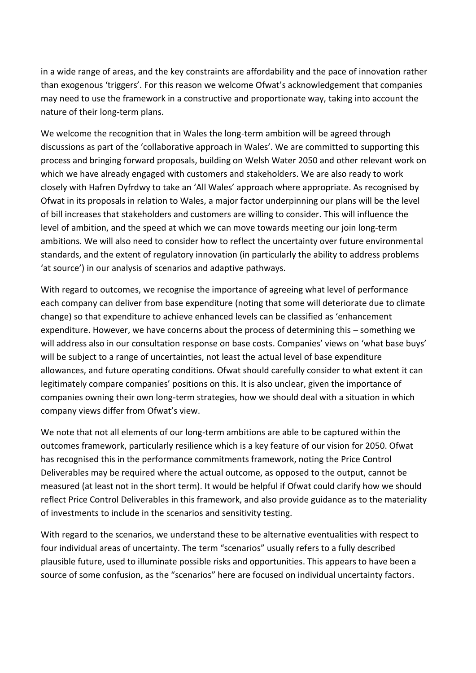in a wide range of areas, and the key constraints are affordability and the pace of innovation rather than exogenous 'triggers'. For this reason we welcome Ofwat's acknowledgement that companies may need to use the framework in a constructive and proportionate way, taking into account the nature of their long-term plans.

We welcome the recognition that in Wales the long-term ambition will be agreed through discussions as part of the 'collaborative approach in Wales'. We are committed to supporting this process and bringing forward proposals, building on Welsh Water 2050 and other relevant work on which we have already engaged with customers and stakeholders. We are also ready to work closely with Hafren Dyfrdwy to take an 'All Wales' approach where appropriate. As recognised by Ofwat in its proposals in relation to Wales, a major factor underpinning our plans will be the level of bill increases that stakeholders and customers are willing to consider. This will influence the level of ambition, and the speed at which we can move towards meeting our join long-term ambitions. We will also need to consider how to reflect the uncertainty over future environmental standards, and the extent of regulatory innovation (in particularly the ability to address problems 'at source') in our analysis of scenarios and adaptive pathways.

With regard to outcomes, we recognise the importance of agreeing what level of performance each company can deliver from base expenditure (noting that some will deteriorate due to climate change) so that expenditure to achieve enhanced levels can be classified as 'enhancement expenditure. However, we have concerns about the process of determining this – something we will address also in our consultation response on base costs. Companies' views on 'what base buys' will be subject to a range of uncertainties, not least the actual level of base expenditure allowances, and future operating conditions. Ofwat should carefully consider to what extent it can legitimately compare companies' positions on this. It is also unclear, given the importance of companies owning their own long-term strategies, how we should deal with a situation in which company views differ from Ofwat's view.

We note that not all elements of our long-term ambitions are able to be captured within the outcomes framework, particularly resilience which is a key feature of our vision for 2050. Ofwat has recognised this in the performance commitments framework, noting the Price Control Deliverables may be required where the actual outcome, as opposed to the output, cannot be measured (at least not in the short term). It would be helpful if Ofwat could clarify how we should reflect Price Control Deliverables in this framework, and also provide guidance as to the materiality of investments to include in the scenarios and sensitivity testing.

With regard to the scenarios, we understand these to be alternative eventualities with respect to four individual areas of uncertainty. The term "scenarios" usually refers to a fully described plausible future, used to illuminate possible risks and opportunities. This appears to have been a source of some confusion, as the "scenarios" here are focused on individual uncertainty factors.